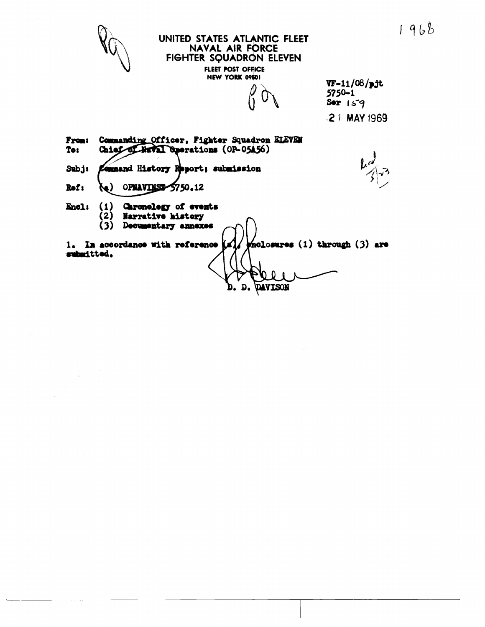$1968$ 



 $\label{eq:2} \frac{1}{\sqrt{2}}\left(\frac{1}{\sqrt{2}}\right)^{2} \left(\frac{1}{\sqrt{2}}\right)^{2} \left(\frac{1}{\sqrt{2}}\right)^{2}$ 

### UNITED STATES ATLANTIC FLEET **NAVAL AIR FORCE** FIGHTER SQUADRON ELEVEN FLEET POST OFFICE

NEW YORK 09501

 $VF-11/08/p$ jt  $5750 - 1$ Ser  $159$ -21 MAY 1969

Commanding Officer, Fighter Squadron ELEVEN **From:** To: Chief of Waval Sperations (OP-05A56) Subj: mmand History Report; submission Rof: **(م}** OPNAVINSI 5750.12  $(1)$ Caronology of events Encl:  $(2)$ Narrative history (3) Decumentary annexes 1. In accordance with reference mclosures (1) through (3) are submitted.  $D<sub>o</sub>$ DAVISON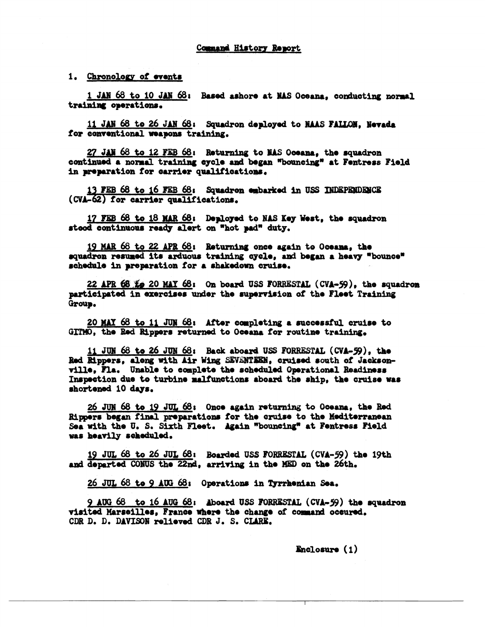1. Chronology of events

1 JAN 68 to 10 JAN 68: Based ashore at NAS Oceana, conducting normal training operations.

11 JAN 68 to 26 JAN 68: Squadron deployed to NAAS FALLON. Nevada for conventional weapons training.

27 JAN 68 to 12 FEB 68: Returning to NAS Oceana, the squadron continued a normal training eycle and began "bouncing" at Fentress Field in preparation for carrier qualifications.

13 FEB 68 to 16 FEB 68: Squadron embarked in USS INDEPENDENCE (CVA-62) for carrier qualifications.

17 FEB 68 to 18 MAR 68: Deployed to NAS Key West, the squadron steed continuous ready alert on "hot pad" duty.

19 MAR 68 to 22 APR 68: Returning once again to Oceana, the squadron resumed its arduous training cycle, and began a heavy "bounce" schedule in preparation for a shakedown cruise.

22 APR 68 Le 20 MAY 68: On board USS FORRESTAL (CVA-59), the squadron participated in exercises under the supervision of the Fleet Training Group.

20 MAY 68 to 11 JUN 68: After completing a successful cruise to GITMO, the Red Rippers returned to Oceana for routine training.

11 JUN 68 to 26 JUN 68: Back aboard USS FORRESTAL (CVA-59), the Red Rippers, along with Air Wing SEVENTEEN, cruised south of Jacksonville. Fla. Unable to complete the scheduled Operational Readiness Inspection due to turbine malfunctions aboard the ship, the cruise was shortened 10 days.

26 JUN 68 to 19 JUL 68: Once again returning to Oceana, the Red Rippers began final preparations for the cruise to the Mediterranean Sea with the U. S. Sixth Fleet. Again "bouncing" at Fentress Field was heavily scheduled.

19 JUL 68 to 26 JUL 68: Boarded USS FORRESTAL (CVA-59) the 19th and departed CONUS the 22nd, arriving in the MED on the 26th.

26 JUL 68 to 9 AUG 68: Operations in Tyrrhenian Sea.

9 AUG 68 to 16 AUG 68: Aboard USS FORRESTAL (CVA-59) the squadron visited Marseilles, France where the change of command occured. CDR D. D. DAVISON relieved CDR J. S. CLARE.

 $\mathbb{R}$ nclosure  $(1)$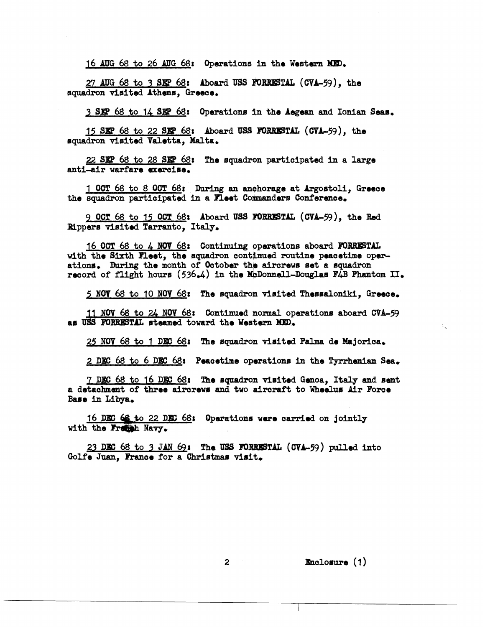16 AUG 68 to 26 AUG 68: Operations in the Western MED.

27 AUG 68 to 3 SEP 68: Aboard USS FORRESTAL (CVA-59), the squadron visited Athens, Greece.

3 SEP 68 to 14 SEP 68: Operations in the Aegean and Ionian Seas.

15 SEP 68 to 22 SEP 68: Aboard USS FORRESTAL (CVA-59), the squadron visited Valetta, Malta.

22 SEP 68 to 28 SEP 68: The squadron participated in a large anti-air warfare exercise.

1 OCT 68 to 8 OCT 68: During an anchorage at Argostoli, Greece the squadron participated in a Fleet Commanders Conference.

9 OCT 68 to 15 OCT 68: Aboard USS FORRESTAL (CVA-59), the Red Rippers visited Tarranto, Italy.

16 OCT 68 to 4 NOV 68: Continuing operations aboard FORRESTAL with the Sixth Fleet, the squadron continued routine peacetime operations. During the month of October the aircrews set a squadron record of flight hours (536.4) in the McDonnell-Douglas F4B Phantom II.

5 NOV 68 to 10 NOV 68: The squadron visited Thessaloniki, Greece.

11 NOV 68 to 24 NOV 68: Continued normal operations aboard CVA-59 as USS FORRESTAL steamed toward the Western MED.

25 NOV 68 to 1 DEC 68: The squadron visited Palma de Majorica.

2 DEC 68 to 6 DEC 68: Peacetime operations in the Tyrrhenian Sea.

7 DEC 68 to 16 DEC 68: The squadron visited Genoa, Italy and sent a detachment of three aircrews and two aircraft to Wheelus Air Force Base in Libya.

16 DEC 68 to 22 DEC 68: Operations were carried on jointly with the Fremsh Navy.

23 DEC 68 to 3 JAN 69: The USS FORRESTAL (CVA-59) pulled into Golfe Juan, France for a Christmas visit.

Enclosure (1)

 $\mathbf{z}$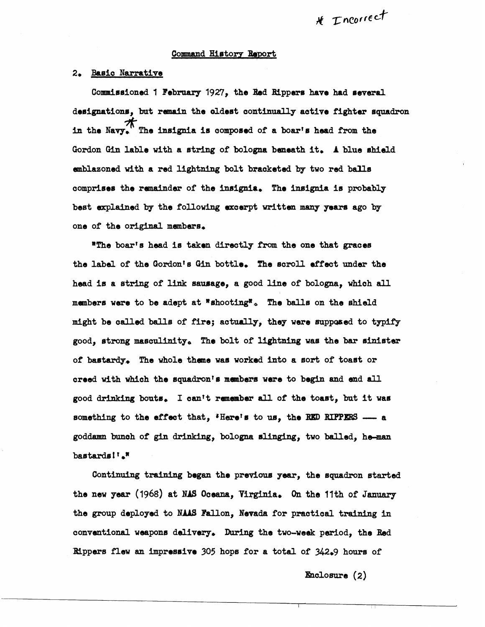### Command History Report

### 2. Basic Narrative

Commissioned 1 February 1927, the Red Rippers have had several designations, but remain the oldest continually active fighter squadron **in** the Navy. \* The **insignia** is oomposed of a boar's head from **the**  Gordon Gin lable with a string of bologna beneath it. A blue shield emblazoned with a red lightning bolt bracketed by two red balls compriesa the raenaindsr of the **insignie,** The insignia is probably best explained by the following excerpt written many years ago by one of the original **members,** 

**RThs** boarre head ia taken **directly** Iflwn the one that graces the label of the Gordon's Gin bottle. The scroll effect under the head is a string of link sausage, a good line of bologna, which all members were to be adept at  $*$ shooting $*$ . The balls on the shield might be called balls of fire; actually, they were supposed to typify good, atrong mecrillnitpe **The** bolt of lightning **was** the bar ainistsr of bastardy\* **The** whole thane was worked into a sort of toaet or oreed with which the squadron's members were to begin and end all good drinking bouts. I can't remember all of the toast, but it was something to the effect that, 'Here's to us, the RED RIPPERS - a goddamn bunch of gin drinking, bologna slinging, two balled, he-man baetarde **1 t \*n** 

Continuing training began the previous year, the squadron started the new **year (1968)** at **NdS** ocemm, **TJssinia, On the** 1 **lth** of **January**  the group deployed to NAAS Fallon, Nevada for practical training in conventional weapons delivery. During the two-week period, the Red **Rippers flew an impressive 305 hops for a total of 342.9 hours of**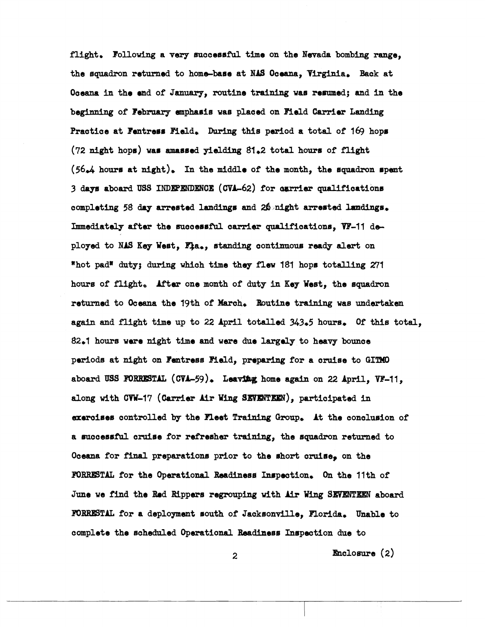flight. Following a very successful time on the Nevada bombing range. the squadron returned to home-base at NAS Oceana, Virginia. Back at Oceana in the end of January, routine training was resumed; and in the beginning of February emphasis was placed on Field Carrier Landing Practice at Fentress Field. During this period a total of 169 hops (72 night hops) was amassed yielding 81.2 total hours of flight  $(56.4$  hours at night). In the middle of the month, the squadron spent 3 days aboard USS INDEPENDENCE (CVA-62) for carrier qualifications completing 58 day arrested landings and 26 night arrested landings. Immediately after the successful carrier qualifications, VF-11 deployed to NAS Key West, Fla., standing continuous ready alert on "hot pad" duty; during which time they flew 181 hops totalling 271 hours of flight. After one month of duty in Key West, the squadron returned to Oceana the 19th of March. Routine training was undertaken again and flight time up to 22 April totalled 343.5 hours. Of this total. 82.1 hours were night time and were due largely to heavy bounce periods at night on Fentress Field, preparing for a cruise to GITMO aboard USS FORRESTAL (CVA-59). Leaving home again on 22 April, VF-11, along with CVW-17 (Carrier Air Wing SEVENTEEN), participated in exercises controlled by the Fleet Training Group. At the conclusion of a successful cruise for refresher training, the squadron returned to Oceana for final preparations prior to the short cruise, on the FORRESTAL for the Operational Readiness Inspection. On the 11th of June we find the Red Rippers regrouping with Air Wing SEVENTEEN aboard FORRESTAL for a deployment south of Jacksonville, Florida. Unable to complete the scheduled Operational Readiness Inspection due to

**Enclosure**  $(2)$ 

2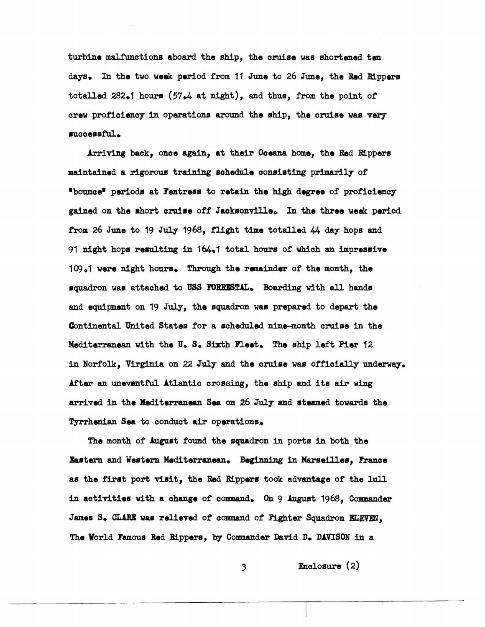turbine malfunctions aboard the ship, the cruise was shortened ten days. In the two week period from 11 June to 26 June, the Red Rippers totalled 282.1 hours (57.4 at night), and thus, from the point of crew proficiency in operations around the ship, the cruise was very successful.

Arriving back, once again, at their Oceana home, the Red Rippers maintained a rigorous training schedule consisting primarily of "bounce" periods at Fentress to retain the high degree of proficiency gained on the short cruise off Jacksonville. In the three week period from 26 June to 19 July 1968, flight time totalled 44 day hops and 91 night hops resulting in 164.1 total hours of which an impressive 109.1 were night hours. Through the remainder of the month, the squadron was attached to USS FORRESTAL. Boarding with all hands and equipment on 19 July, the squadron was prepared to depart the Continental United States for a scheduled nine-month cruise in the Mediterranean with the U.S. Sixth Fleet. The ship left Pier 12 in Norfolk, Virginia on 22 July and the cruise was officially underway. After an unevantful Atlantic crossing, the ship and its air wing arrived in the Mediterranean Sea on 26 July and steamed towards the Tyrrhenian Sea to conduct air operations.

The month of August found the squadron in ports in both the Eastern and Western Mediterranean. Beginning in Marseilles, France as the first port visit, the Red Rippers took advantage of the lull in activities with a change of command. On  $9$  August 1968, Commander James S. CLARE was relieved of command of Fighter Squadron ELEVEN. The World Famous Red Rippers, by Commander David D. DAVISON in a

3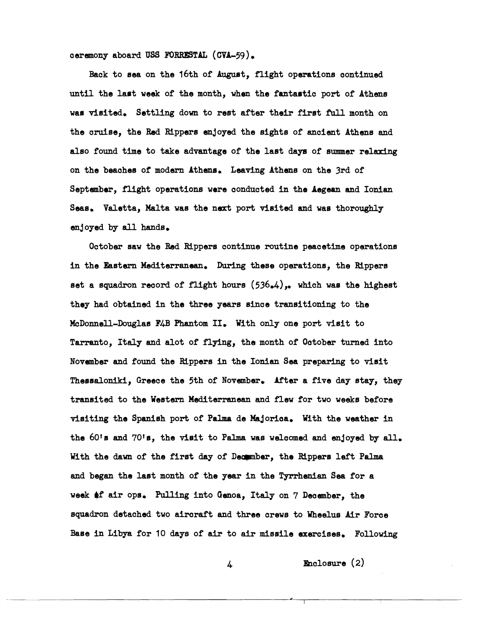oeremony aboard **US8 FORRE3TAL** (CVA-59),

Back to sea on the 16th of August, flight operations continued until the last week of the month, when the fantastic port of Athens was visited. Settling down to rest after their first full month on the oruise, the Red Rippers enjoyed the sights of ancient Athens and also found time to take advantage of the last **daya** of summer relaxing on the beaches of modern Athens. Leaving Athens on the 3rd of September, flight operations were conducted in the Aegean and Ionian Seae, Valetta, Malta was the next port visited and was thoroughly enjoyed by all hands.

October saw the Red Rippers continue routine peacetime operations in the Eastern Mediterranean. During these operations, the Rippers set a squadron record of flight hours  $(536, 4)$ ,. which was the highest they had obtained in the three years since transitioning to the McDonnsll-Douglas **F@** Phantom 11, With only one port visit to Tarranto. Italy and alot of flying, the month of October turned into November and found the Rippers in the Ionian Sea preparing to visit Thessaloniki, Greece the 5th of November. After a five day stay, they transited to the Western Mediterranean and flew for two weeks before visiting the Spanish port of Palma de Majorica. With the weather in the  $60$ <sup>t</sup>s and  $70$ <sup>t</sup>s, the visit to Palma was welcomed and enjoyed by all. With the dawn of the first day of Decumber, the Rippers left Palma and began the last month of the year in the Tyrrhenian **Sea** for a week of air ops. Pulling into Genoa, Italy on 7 December, the squadron detached two aircraft and three crews to Wheelus Air Force Base in Libya for 10 days of air to air missile exercises. Following

4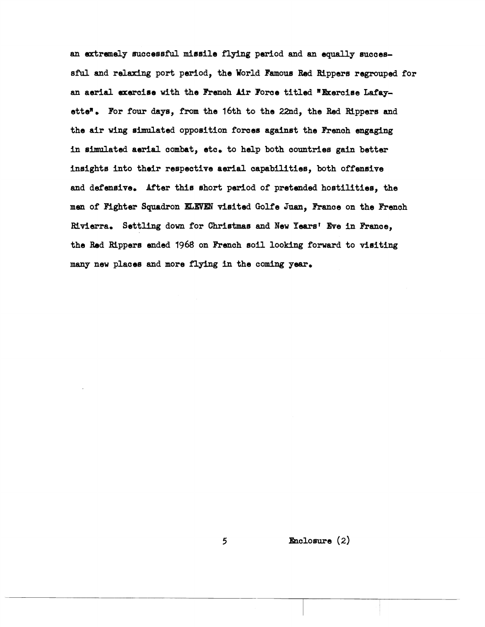an extremely successful missile flying period and an equally successful and relaxing port period, the World Famous Red Rippers regrouped for an aerial exercise with the French Air Force titled "Exercise Lafayette". For four days, from the 16th to the 22nd, the Red Rippers and the air wing simulated opposition forces against the French engaging in simulated aerial combat, etc. to help both countries gain better insights into their respective aerial capabilities, both offensive and defensive. After this short period of pretended hostilities, the men of Fighter Squadron ELEVEN visited Golfe Juan, France on the French Rivierra. Settling down for Christmas and New Years' Eve in France, the Red Rippers ended 1968 on French soil looking forward to visiting many new places and more flying in the coming year.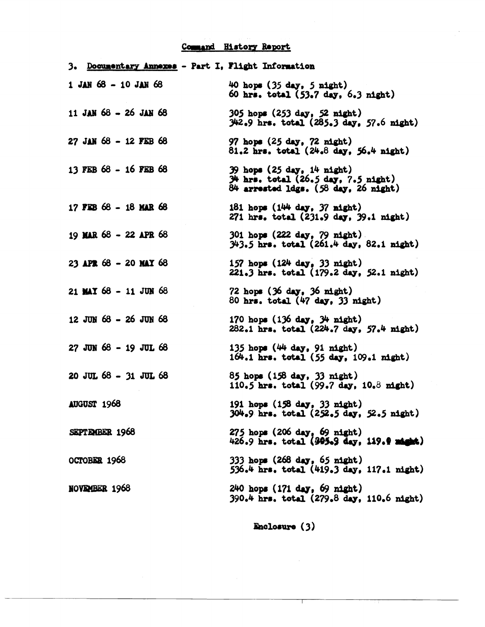# Command History Report

| 3. Documentary Annexes - Part I, Flight Information |                                                                                                                           |
|-----------------------------------------------------|---------------------------------------------------------------------------------------------------------------------------|
| $1$ JAN 68 - 10 JAN 68                              | 40 hops $(35 \text{ day}, 5 \text{ night})$<br>60 hrs. total (53.7 day, 6.3 night)                                        |
| 11 JAN 68 - 26 JAN 68                               | 305 hops (253 day, 52 night)<br>$342.9$ hrs. total $(285.3$ day, $57.6$ night)                                            |
| 27 JAN 68 - 12 FEB 68                               | 97 hops $(25 \text{ day}, 72 \text{ night})$<br>$81.2$ hrs. total $(24.8$ day, $56.4$ night)                              |
| 13 FEB 68 - 16 FEB 68                               | $39$ hops $(25$ day, $14$ night)<br>$34$ hrs. total $(26.5$ day, $7.5$ night)<br>$84$ arrested ldgs. $(58$ day, 26 night) |
| 17 FEB 68 - 18 MAR 68                               | 181 hops $(144 \text{ day}, 37 \text{ night})$<br>$271$ hrs. total $(231.9$ day, $39.1$ night)                            |
| 19 MAR 68 - 22 APR 68                               | 301 hops (222 day, 79 night).<br>343.5 hrs. total (261.4 day, 82.1 night)                                                 |
| 23 APR $68 - 20$ MAY $68$                           | 157 hops $(124 \text{ day}, 33 \text{ night})$<br>221.3 hrs. total (179.2 day, 52.1 night)                                |
| 21 MAY 68 - 11 JUN 68                               | 72 hops $(36 \text{ day}, 36 \text{ night})$<br>80 hrs. total $(47$ day, 33 night)                                        |
| 12 JUN 68 - 26 JUN 68                               | 170 hops $(136 \text{ day}, 34 \text{ night})$<br>282.1 hrs. total (224.7 day, 57.4 night)                                |
| $27$ JUN $68 - 19$ JUL $68$                         | 135 hops $(44 \text{ day}, 91 \text{ night})$<br>$164.1$ hrs. total $(55$ day, $109.1$ night)                             |
| $20$ JUL $68 - 31$ JUL $68$                         | 85 hops (158 day, 33 night)<br>110.5 hrs. total $(99.7 \text{ day}, 10.8 \text{ might})$                                  |
| AUGUST 1968                                         | 191 hops (158 day, 33 night)<br>304.9 hrs. total (252.5 day, 52.5 night)                                                  |
| SEPTEMBER 1968                                      | 275 hops (206 day, 69 night)<br>426.9 hrs. total (395.9 day, 119.9 night)                                                 |
| OCTOBER 1968                                        | 333 hops (268 day, 65 night)<br>536.4 hrs. total (419.3 day, 117.1 night)                                                 |
| <b>NOVEMBER 1968</b>                                | 240 hops (171 day, 69 night)<br>390.4 hrs. total (279.8 day, 110.6 night)                                                 |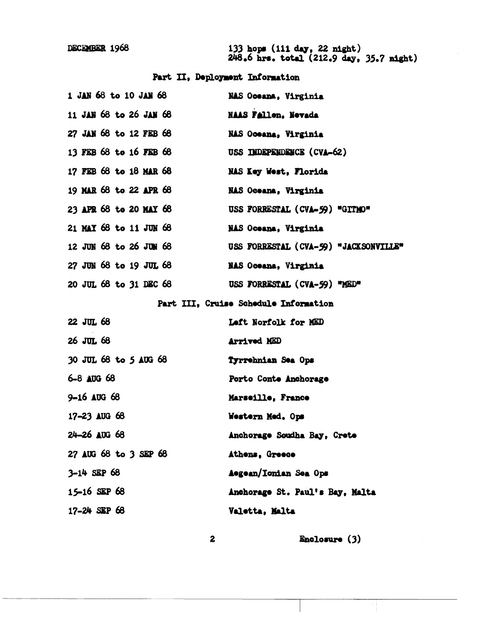DECEMBER 1968

133 hops (111 day, 22 night)<br>248.6 hrs. total (212.9 day, 35.7 night)

# Part II, Deployment Information

| 1 JAN 68 to 10 JAN 68       | NAS Oceana, Virginia                  |
|-----------------------------|---------------------------------------|
| 11 JAN 68 to 26 JAN 68      | <b>NAAS Fallon, Nevada</b>            |
| 27 JAN 68 to 12 FEB 68      | NAS Oceana, Virginia                  |
| 13 FEB 68 to 16 FEB 68      | USS INDEPENDENCE (CVA-62)             |
| 17 FEB 68 to 18 MAR 68      | NAS Key West, Florida                 |
| 19 MAR 68 to 22 APR 68      | NAS Oceana, Virginia                  |
| 23 APR 68 to 20 MAY 68      | USS FORRESTAL (CVA-59) "GITMO"        |
| 21 MAY 68 to 11 JUN 68      | NAS Oceana, Virginia                  |
| 12 JUN 68 to 26 JUN 68      | USS FORRESTAL (CVA-59) "JACKSONVILLE" |
| 27 JUN 68 to 19 JUL 68      | <b>NAS Oceana, Virginia</b>           |
| 20 JUL 68 to 31 DEC 68      | USS FORRESTAL (CVA-59) "MED"          |
|                             | Part III, Cruise Schedule Information |
| 22 JUL 68                   | Left Norfolk for MED                  |
| 26 JUL 68                   | <b>Arrived MED</b>                    |
| 30 JUL 68 to 5 AUG 68       | Tyrrehnian Sea Ops                    |
| 6-8 AUG 68                  | Porto Conte Anchorage                 |
| $9 - 16$ AUG 68             | Marseille, France                     |
| 17-23 AUG 68                | Western Med. Ops                      |
| $24 - 26$ $\triangle$ UG 68 | Anchorage Soudha Bay, Crete           |
| 27 AUG 68 to 3 SEP 68       | Athens, Greece                        |
| $3-14$ SEP 68               | Aegean/Ionian Sea Ops                 |
| $15 - 16$ SEP 68            | Anchorage St. Paul's Bay, Malta       |
| $17 - 24$ SEP 68            | Valetta, Malta                        |

 $\boldsymbol{2}$ 

Enclosure (3)

Ħ